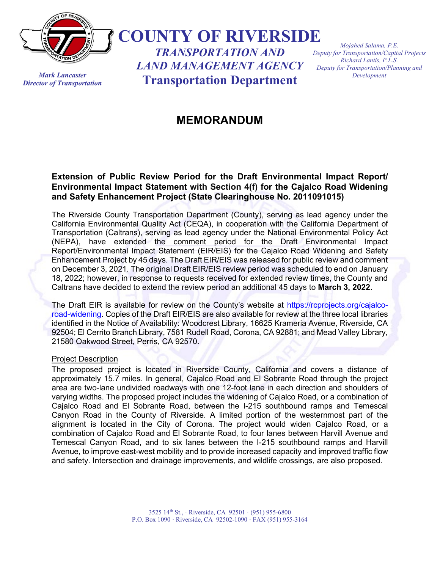

*Mark Lancaster Director of Transportation* **COUNTY OF RIVERSIDE**

*TRANSPORTATION AND LAND MANAGEMENT AGENCY* **Transportation Department**

*Mojahed Salama, P.E. Deputy for Transportation/Capital Projects Richard Lantis, P.L.S. Deputy for Transportation/Planning and Development*

## **MEMORANDUM**

## **Extension of Public Review Period for the Draft Environmental Impact Report/ Environmental Impact Statement with Section 4(f) for the Cajalco Road Widening and Safety Enhancement Project (State Clearinghouse No. 2011091015)**

The Riverside County Transportation Department (County), serving as lead agency under the California Environmental Quality Act (CEQA), in cooperation with the California Department of Transportation (Caltrans), serving as lead agency under the National Environmental Policy Act (NEPA), have extended the comment period for the Draft Environmental Impact Report/Environmental Impact Statement (EIR/EIS) for the Cajalco Road Widening and Safety Enhancement Project by 45 days. The Draft EIR/EIS was released for public review and comment on December 3, 2021. The original Draft EIR/EIS review period was scheduled to end on January 18, 2022; however, in response to requests received for extended review times, the County and Caltrans have decided to extend the review period an additional 45 days to **March 3, 2022**.

The Draft EIR is available for review on the County's website at [https://rcprojects.org/cajalco](https://rcprojects.org/cajalco-road-widening)[road-widening.](https://rcprojects.org/cajalco-road-widening) Copies of the Draft EIR/EIS are also available for review at the three local libraries identified in the Notice of Availability: Woodcrest Library, 16625 Krameria Avenue, Riverside, CA 92504; El Cerrito Branch Library, 7581 Rudell Road, Corona, CA 92881; and Mead Valley Library, 21580 Oakwood Street, Perris, CA 92570.

## Project Description

The proposed project is located in Riverside County, California and covers a distance of approximately 15.7 miles. In general, Cajalco Road and El Sobrante Road through the project area are two-lane undivided roadways with one 12-foot lane in each direction and shoulders of varying widths. The proposed project includes the widening of Cajalco Road, or a combination of Cajalco Road and El Sobrante Road, between the I-215 southbound ramps and Temescal Canyon Road in the County of Riverside. A limited portion of the westernmost part of the alignment is located in the City of Corona. The project would widen Cajalco Road, or a combination of Cajalco Road and El Sobrante Road, to four lanes between Harvill Avenue and Temescal Canyon Road, and to six lanes between the I-215 southbound ramps and Harvill Avenue, to improve east-west mobility and to provide increased capacity and improved traffic flow and safety. Intersection and drainage improvements, and wildlife crossings, are also proposed.